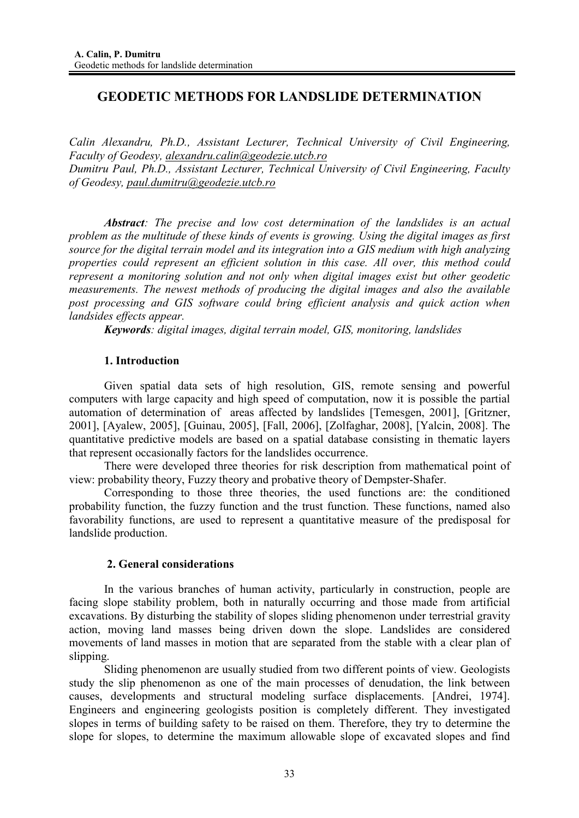# **GEODETIC METHODS FOR LANDSLIDE DETERMINATION**

*Calin Alexandru, Ph.D., Assistant Lecturer, Technical University of Civil Engineering, Faculty of Geodesy, alexandru.calin@geodezie.utcb.ro Dumitru Paul, Ph.D., Assistant Lecturer, Technical University of Civil Engineering, Faculty of Geodesy, paul.dumitru@geodezie.utcb.ro*

*Abstract: The precise and low cost determination of the landslides is an actual problem as the multitude of these kinds of events is growing. Using the digital images as first source for the digital terrain model and its integration into a GIS medium with high analyzing properties could represent an efficient solution in this case. All over, this method could represent a monitoring solution and not only when digital images exist but other geodetic measurements. The newest methods of producing the digital images and also the available post processing and GIS software could bring efficient analysis and quick action when landsides effects appear.* 

*Keywords: digital images, digital terrain model, GIS, monitoring, landslides*

## **1. Introduction**

Given spatial data sets of high resolution, GIS, remote sensing and powerful computers with large capacity and high speed of computation, now it is possible the partial automation of determination of areas affected by landslides [Temesgen, 2001], [Gritzner, 2001], [Ayalew, 2005], [Guinau, 2005], [Fall, 2006], [Zolfaghar, 2008], [Yalcin, 2008]. The quantitative predictive models are based on a spatial database consisting in thematic layers that represent occasionally factors for the landslides occurrence.

There were developed three theories for risk description from mathematical point of view: probability theory, Fuzzy theory and probative theory of Dempster-Shafer.

Corresponding to those three theories, the used functions are: the conditioned probability function, the fuzzy function and the trust function. These functions, named also favorability functions, are used to represent a quantitative measure of the predisposal for landslide production.

#### **2. General considerations**

In the various branches of human activity, particularly in construction, people are facing slope stability problem, both in naturally occurring and those made from artificial excavations. By disturbing the stability of slopes sliding phenomenon under terrestrial gravity action, moving land masses being driven down the slope. Landslides are considered movements of land masses in motion that are separated from the stable with a clear plan of slipping.

Sliding phenomenon are usually studied from two different points of view. Geologists study the slip phenomenon as one of the main processes of denudation, the link between causes, developments and structural modeling surface displacements. [Andrei, 1974]. Engineers and engineering geologists position is completely different. They investigated slopes in terms of building safety to be raised on them. Therefore, they try to determine the slope for slopes, to determine the maximum allowable slope of excavated slopes and find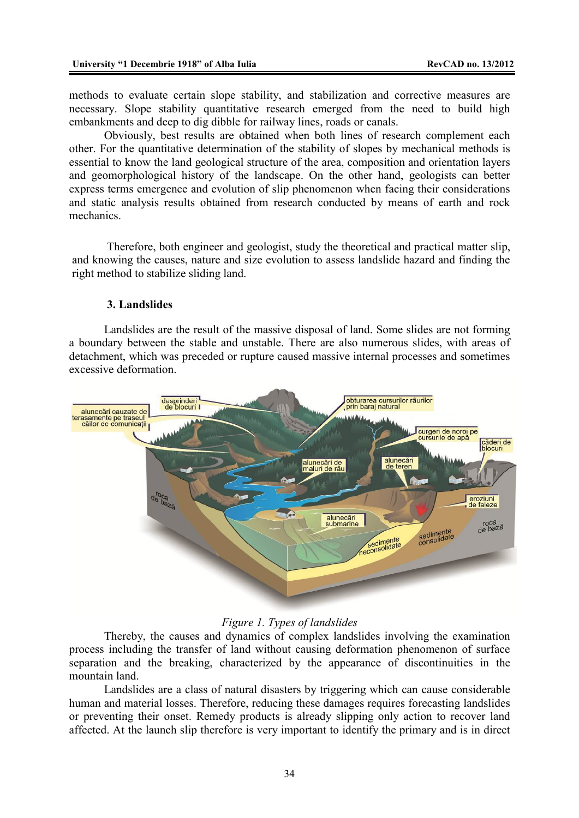methods to evaluate certain slope stability, and stabilization and corrective measures are necessary. Slope stability quantitative research emerged from the need to build high embankments and deep to dig dibble for railway lines, roads or canals.

Obviously, best results are obtained when both lines of research complement each other. For the quantitative determination of the stability of slopes by mechanical methods is essential to know the land geological structure of the area, composition and orientation layers and geomorphological history of the landscape. On the other hand, geologists can better express terms emergence and evolution of slip phenomenon when facing their considerations and static analysis results obtained from research conducted by means of earth and rock mechanics.

Therefore, both engineer and geologist, study the theoretical and practical matter slip, and knowing the causes, nature and size evolution to assess landslide hazard and finding the right method to stabilize sliding land.

### **3. Landslides**

Landslides are the result of the massive disposal of land. Some slides are not forming a boundary between the stable and unstable. There are also numerous slides, with areas of detachment, which was preceded or rupture caused massive internal processes and sometimes excessive deformation.



## *Figure 1. Types of landslides*

Thereby, the causes and dynamics of complex landslides involving the examination process including the transfer of land without causing deformation phenomenon of surface separation and the breaking, characterized by the appearance of discontinuities in the mountain land.

Landslides are a class of natural disasters by triggering which can cause considerable human and material losses. Therefore, reducing these damages requires forecasting landslides or preventing their onset. Remedy products is already slipping only action to recover land affected. At the launch slip therefore is very important to identify the primary and is in direct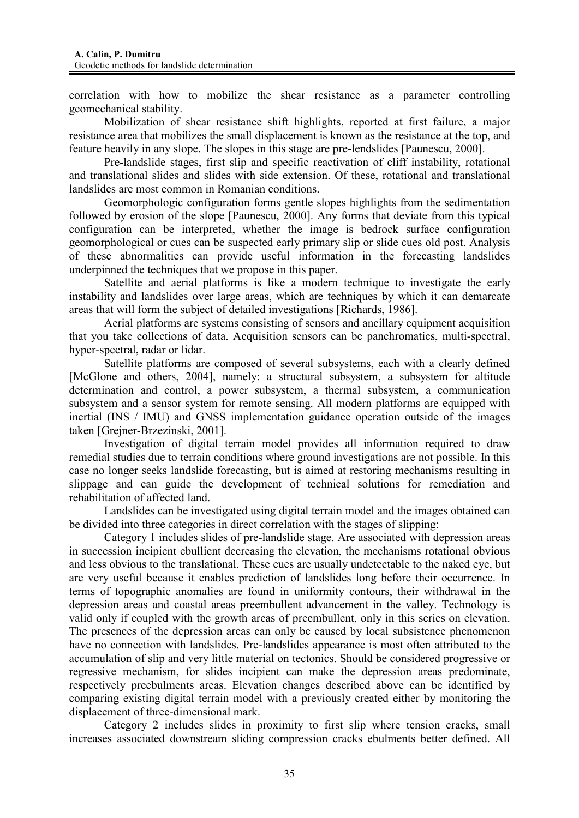correlation with how to mobilize the shear resistance as a parameter controlling geomechanical stability.

Mobilization of shear resistance shift highlights, reported at first failure, a major resistance area that mobilizes the small displacement is known as the resistance at the top, and feature heavily in any slope. The slopes in this stage are pre-lendslides [Paunescu, 2000].

Pre-landslide stages, first slip and specific reactivation of cliff instability, rotational and translational slides and slides with side extension. Of these, rotational and translational landslides are most common in Romanian conditions.

Geomorphologic configuration forms gentle slopes highlights from the sedimentation followed by erosion of the slope [Paunescu, 2000]. Any forms that deviate from this typical configuration can be interpreted, whether the image is bedrock surface configuration geomorphological or cues can be suspected early primary slip or slide cues old post. Analysis of these abnormalities can provide useful information in the forecasting landslides underpinned the techniques that we propose in this paper.

Satellite and aerial platforms is like a modern technique to investigate the early instability and landslides over large areas, which are techniques by which it can demarcate areas that will form the subject of detailed investigations [Richards, 1986].

Aerial platforms are systems consisting of sensors and ancillary equipment acquisition that you take collections of data. Acquisition sensors can be panchromatics, multi-spectral, hyper-spectral, radar or lidar.

Satellite platforms are composed of several subsystems, each with a clearly defined [McGlone and others, 2004], namely: a structural subsystem, a subsystem for altitude determination and control, a power subsystem, a thermal subsystem, a communication subsystem and a sensor system for remote sensing. All modern platforms are equipped with inertial (INS / IMU) and GNSS implementation guidance operation outside of the images taken [Grejner-Brzezinski, 2001].

Investigation of digital terrain model provides all information required to draw remedial studies due to terrain conditions where ground investigations are not possible. In this case no longer seeks landslide forecasting, but is aimed at restoring mechanisms resulting in slippage and can guide the development of technical solutions for remediation and rehabilitation of affected land.

Landslides can be investigated using digital terrain model and the images obtained can be divided into three categories in direct correlation with the stages of slipping:

Category 1 includes slides of pre-landslide stage. Are associated with depression areas in succession incipient ebullient decreasing the elevation, the mechanisms rotational obvious and less obvious to the translational. These cues are usually undetectable to the naked eye, but are very useful because it enables prediction of landslides long before their occurrence. In terms of topographic anomalies are found in uniformity contours, their withdrawal in the depression areas and coastal areas preembullent advancement in the valley. Technology is valid only if coupled with the growth areas of preembullent, only in this series on elevation. The presences of the depression areas can only be caused by local subsistence phenomenon have no connection with landslides. Pre-landslides appearance is most often attributed to the accumulation of slip and very little material on tectonics. Should be considered progressive or regressive mechanism, for slides incipient can make the depression areas predominate, respectively preebulments areas. Elevation changes described above can be identified by comparing existing digital terrain model with a previously created either by monitoring the displacement of three-dimensional mark.

Category 2 includes slides in proximity to first slip where tension cracks, small increases associated downstream sliding compression cracks ebulments better defined. All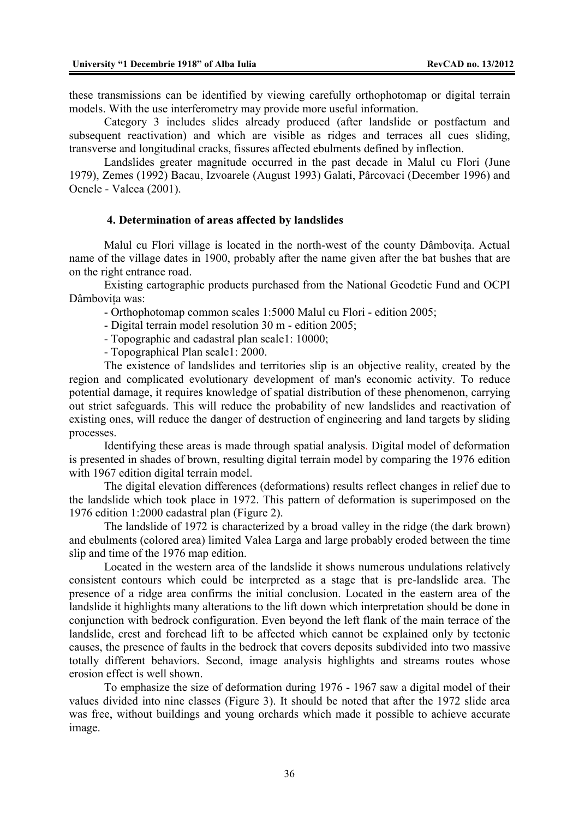these transmissions can be identified by viewing carefully orthophotomap or digital terrain models. With the use interferometry may provide more useful information.

Category 3 includes slides already produced (after landslide or postfactum and subsequent reactivation) and which are visible as ridges and terraces all cues sliding, transverse and longitudinal cracks, fissures affected ebulments defined by inflection.

Landslides greater magnitude occurred in the past decade in Malul cu Flori (June 1979), Zemes (1992) Bacau, Izvoarele (August 1993) Galati, Pârcovaci (December 1996) and Ocnele - Valcea (2001).

### **4. Determination of areas affected by landslides**

Malul cu Flori village is located in the north-west of the county Dâmbovita. Actual name of the village dates in 1900, probably after the name given after the bat bushes that are on the right entrance road.

Existing cartographic products purchased from the National Geodetic Fund and OCPI Dâmbovita was:

- Orthophotomap common scales 1:5000 Malul cu Flori - edition 2005;

- Digital terrain model resolution 30 m - edition 2005;

- Topographic and cadastral plan scale1: 10000;

- Topographical Plan scale1: 2000.

The existence of landslides and territories slip is an objective reality, created by the region and complicated evolutionary development of man's economic activity. To reduce potential damage, it requires knowledge of spatial distribution of these phenomenon, carrying out strict safeguards. This will reduce the probability of new landslides and reactivation of existing ones, will reduce the danger of destruction of engineering and land targets by sliding processes.

Identifying these areas is made through spatial analysis. Digital model of deformation is presented in shades of brown, resulting digital terrain model by comparing the 1976 edition with 1967 edition digital terrain model.

The digital elevation differences (deformations) results reflect changes in relief due to the landslide which took place in 1972. This pattern of deformation is superimposed on the 1976 edition 1:2000 cadastral plan (Figure 2).

The landslide of 1972 is characterized by a broad valley in the ridge (the dark brown) and ebulments (colored area) limited Valea Larga and large probably eroded between the time slip and time of the 1976 map edition.

Located in the western area of the landslide it shows numerous undulations relatively consistent contours which could be interpreted as a stage that is pre-landslide area. The presence of a ridge area confirms the initial conclusion. Located in the eastern area of the landslide it highlights many alterations to the lift down which interpretation should be done in conjunction with bedrock configuration. Even beyond the left flank of the main terrace of the landslide, crest and forehead lift to be affected which cannot be explained only by tectonic causes, the presence of faults in the bedrock that covers deposits subdivided into two massive totally different behaviors. Second, image analysis highlights and streams routes whose erosion effect is well shown.

To emphasize the size of deformation during 1976 - 1967 saw a digital model of their values divided into nine classes (Figure 3). It should be noted that after the 1972 slide area was free, without buildings and young orchards which made it possible to achieve accurate image.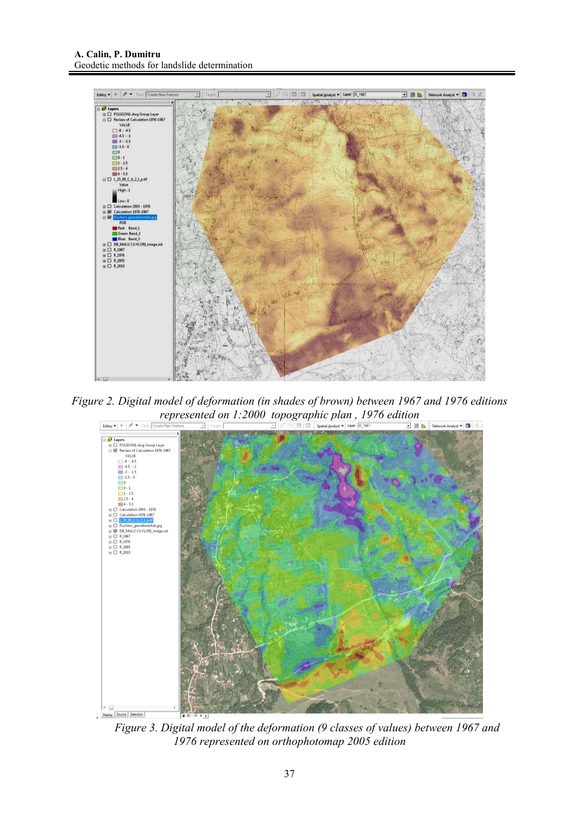

*Figure 2. Digital model of deformation (in shades of brown) between 1967 and 1976 editions represented on 1:2000 topographic plan , 1976 edition* 



*Figure 3. Digital model of the deformation (9 classes of values) between 1967 and 1976 represented on orthophotomap 2005 edition*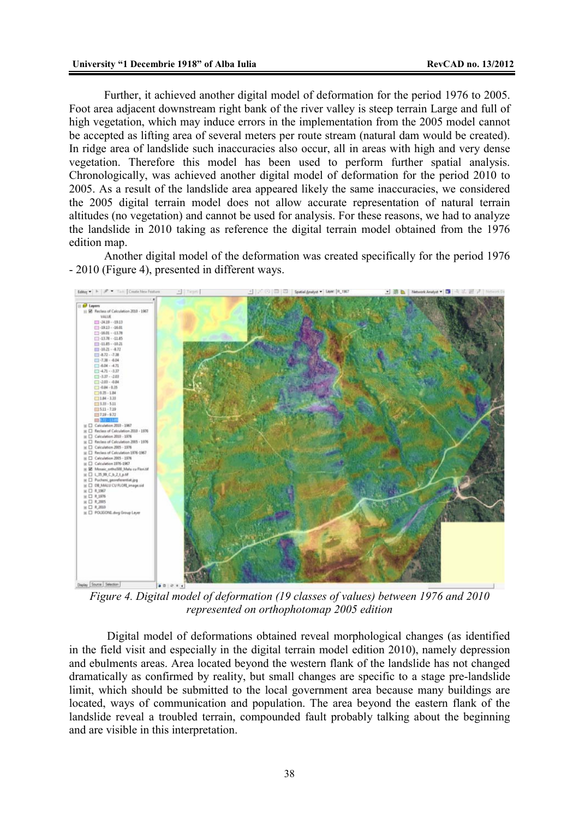Further, it achieved another digital model of deformation for the period 1976 to 2005. Foot area adjacent downstream right bank of the river valley is steep terrain Large and full of high vegetation, which may induce errors in the implementation from the 2005 model cannot be accepted as lifting area of several meters per route stream (natural dam would be created). In ridge area of landslide such inaccuracies also occur, all in areas with high and very dense vegetation. Therefore this model has been used to perform further spatial analysis. Chronologically, was achieved another digital model of deformation for the period 2010 to 2005. As a result of the landslide area appeared likely the same inaccuracies, we considered the 2005 digital terrain model does not allow accurate representation of natural terrain altitudes (no vegetation) and cannot be used for analysis. For these reasons, we had to analyze the landslide in 2010 taking as reference the digital terrain model obtained from the 1976 edition map.

Another digital model of the deformation was created specifically for the period 1976 - 2010 (Figure 4), presented in different ways.



*Figure 4. Digital model of deformation (19 classes of values) between 1976 and 2010 represented on orthophotomap 2005 edition* 

 Digital model of deformations obtained reveal morphological changes (as identified in the field visit and especially in the digital terrain model edition 2010), namely depression and ebulments areas. Area located beyond the western flank of the landslide has not changed dramatically as confirmed by reality, but small changes are specific to a stage pre-landslide limit, which should be submitted to the local government area because many buildings are located, ways of communication and population. The area beyond the eastern flank of the landslide reveal a troubled terrain, compounded fault probably talking about the beginning and are visible in this interpretation.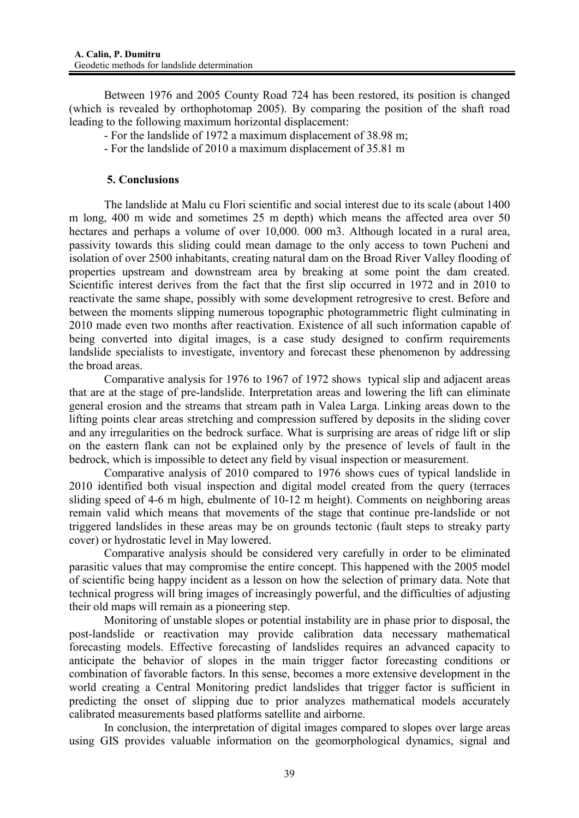Between 1976 and 2005 County Road 724 has been restored, its position is changed (which is revealed by orthophotomap 2005). By comparing the position of the shaft road leading to the following maximum horizontal displacement:

- For the landslide of 1972 a maximum displacement of 38.98 m;
- For the landslide of 2010 a maximum displacement of 35.81 m

### **5. Conclusions**

The landslide at Malu cu Flori scientific and social interest due to its scale (about 1400 m long, 400 m wide and sometimes 25 m depth) which means the affected area over 50 hectares and perhaps a volume of over 10,000. 000 m3. Although located in a rural area, passivity towards this sliding could mean damage to the only access to town Pucheni and isolation of over 2500 inhabitants, creating natural dam on the Broad River Valley flooding of properties upstream and downstream area by breaking at some point the dam created. Scientific interest derives from the fact that the first slip occurred in 1972 and in 2010 to reactivate the same shape, possibly with some development retrogresive to crest. Before and between the moments slipping numerous topographic photogrammetric flight culminating in 2010 made even two months after reactivation. Existence of all such information capable of being converted into digital images, is a case study designed to confirm requirements landslide specialists to investigate, inventory and forecast these phenomenon by addressing the broad areas.

Comparative analysis for 1976 to 1967 of 1972 shows typical slip and adjacent areas that are at the stage of pre-landslide. Interpretation areas and lowering the lift can eliminate general erosion and the streams that stream path in Valea Larga. Linking areas down to the lifting points clear areas stretching and compression suffered by deposits in the sliding cover and any irregularities on the bedrock surface. What is surprising are areas of ridge lift or slip on the eastern flank can not be explained only by the presence of levels of fault in the bedrock, which is impossible to detect any field by visual inspection or measurement.

Comparative analysis of 2010 compared to 1976 shows cues of typical landslide in 2010 identified both visual inspection and digital model created from the query (terraces sliding speed of 4-6 m high, ebulmente of 10-12 m height). Comments on neighboring areas remain valid which means that movements of the stage that continue pre-landslide or not triggered landslides in these areas may be on grounds tectonic (fault steps to streaky party cover) or hydrostatic level in May lowered.

Comparative analysis should be considered very carefully in order to be eliminated parasitic values that may compromise the entire concept. This happened with the 2005 model of scientific being happy incident as a lesson on how the selection of primary data. Note that technical progress will bring images of increasingly powerful, and the difficulties of adjusting their old maps will remain as a pioneering step.

Monitoring of unstable slopes or potential instability are in phase prior to disposal, the post-landslide or reactivation may provide calibration data necessary mathematical forecasting models. Effective forecasting of landslides requires an advanced capacity to anticipate the behavior of slopes in the main trigger factor forecasting conditions or combination of favorable factors. In this sense, becomes a more extensive development in the world creating a Central Monitoring predict landslides that trigger factor is sufficient in predicting the onset of slipping due to prior analyzes mathematical models accurately calibrated measurements based platforms satellite and airborne.

In conclusion, the interpretation of digital images compared to slopes over large areas using GIS provides valuable information on the geomorphological dynamics, signal and